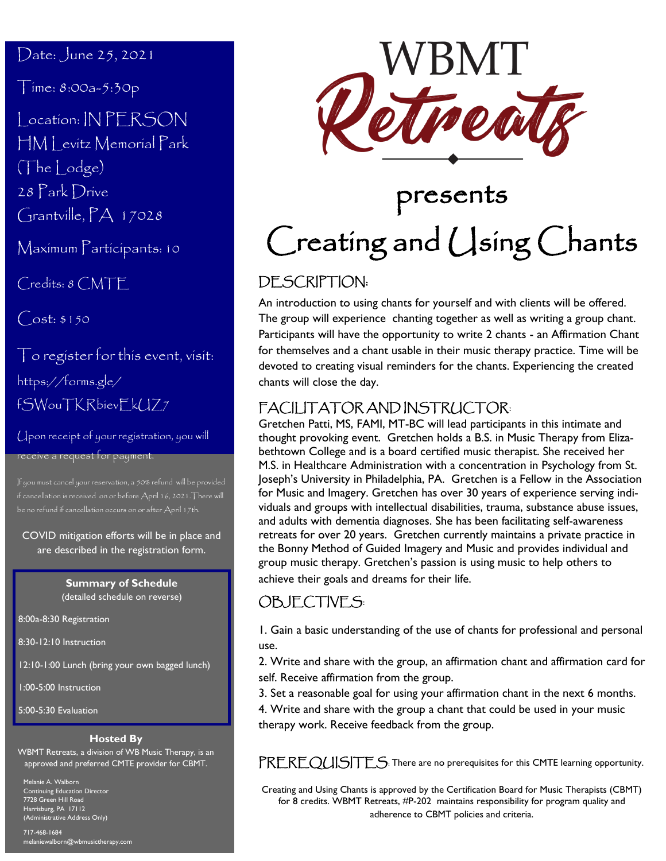#### Date: June 25, 2021

Time: 8:00a-5:30p

Location: IN PERSON HM Levitz Memorial Park (The Lodge) 28 Park Drive Grantville, PA 17028

Maximum Participants: 10

Credits: 8 CMTE

 $Cost: $150$ 

To register for this event, visit: https://forms.gle/ fSWouTKRbievEkUZ7

Upon receipt of your registration, you will receive a request for payment.

if cancellation is received on or before April 16, 2021.There will be no refund if cancellation occurs on or after April 17th.

COVID mitigation efforts will be in place and are described in the registration form.

#### **Summary of Schedule** (detailed schedule on reverse)

8:00a-8:30 Registration

8:30-12:10 Instruction

12:10-1:00 Lunch (bring your own bagged lunch)

1:00-5:00 Instruction

5:00-5:30 Evaluation

#### **Hosted By**

WBMT Retreats, a division of WB Music Therapy, is an approved and preferred CMTE provider for CBMT.

Melanie A. Walborn Continuing Education Director 7728 Green Hill Road Harrisburg, PA 17112 (Administrative Address Only)

717-468-1684 melaniewalborn@wbmusictherapy.com



# presents Creating and Using Chants

### DESCRIPTION:

An introduction to using chants for yourself and with clients will be offered. The group will experience chanting together as well as writing a group chant. Participants will have the opportunity to write 2 chants - an Affirmation Chant for themselves and a chant usable in their music therapy practice. Time will be devoted to creating visual reminders for the chants. Experiencing the created chants will close the day.

## FACILITATOR AND INSTRUCTOR:

Gretchen Patti, MS, FAMI, MT-BC will lead participants in this intimate and thought provoking event. Gretchen holds a B.S. in Music Therapy from Elizabethtown College and is a board certified music therapist. She received her M.S. in Healthcare Administration with a concentration in Psychology from St. Joseph's University in Philadelphia, PA. Gretchen is a Fellow in the Association for Music and Imagery. Gretchen has over 30 years of experience serving individuals and groups with intellectual disabilities, trauma, substance abuse issues, and adults with dementia diagnoses. She has been facilitating self-awareness retreats for over 20 years. Gretchen currently maintains a private practice in the Bonny Method of Guided Imagery and Music and provides individual and group music therapy. Gretchen's passion is using music to help others to achieve their goals and dreams for their life.

#### OBJECTIVES:

1. Gain a basic understanding of the use of chants for professional and personal use.

2. Write and share with the group, an affirmation chant and affirmation card for self. Receive affirmation from the group.

- 3. Set a reasonable goal for using your affirmation chant in the next 6 months.
- 4. Write and share with the group a chant that could be used in your music therapy work. Receive feedback from the group.

PREREQUISITES: There are no prerequisites for this CMTE learning opportunity.

Creating and Using Chants is approved by the Certification Board for Music Therapists (CBMT) for 8 credits. WBMT Retreats, #P-202 maintains responsibility for program quality and adherence to CBMT policies and criteria.